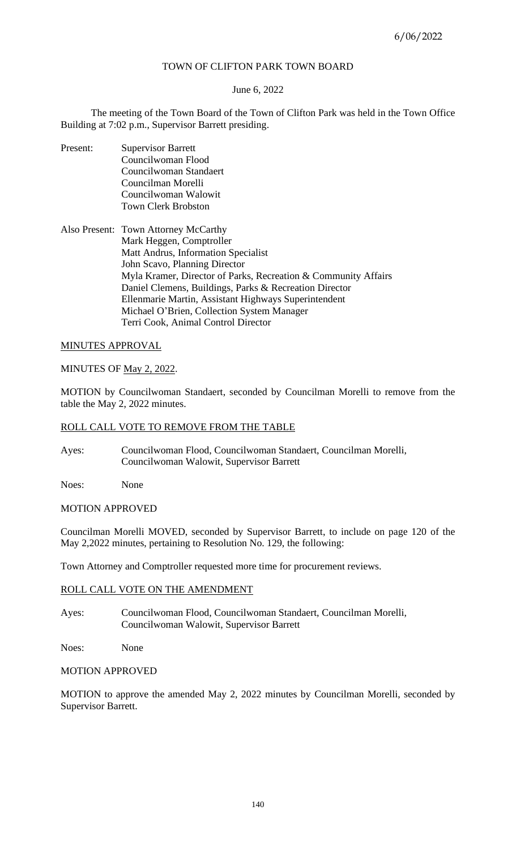# TOWN OF CLIFTON PARK TOWN BOARD

## June 6, 2022

The meeting of the Town Board of the Town of Clifton Park was held in the Town Office Building at 7:02 p.m., Supervisor Barrett presiding.

Present: Supervisor Barrett Councilwoman Flood Councilwoman Standaert Councilman Morelli Councilwoman Walowit Town Clerk Brobston

Also Present: Town Attorney McCarthy Mark Heggen, Comptroller Matt Andrus, Information Specialist John Scavo, Planning Director Myla Kramer, Director of Parks, Recreation & Community Affairs Daniel Clemens, Buildings, Parks & Recreation Director Ellenmarie Martin, Assistant Highways Superintendent Michael O'Brien, Collection System Manager Terri Cook, Animal Control Director

## MINUTES APPROVAL

## MINUTES OF May 2, 2022.

MOTION by Councilwoman Standaert, seconded by Councilman Morelli to remove from the table the May 2, 2022 minutes.

## ROLL CALL VOTE TO REMOVE FROM THE TABLE

- Ayes: Councilwoman Flood, Councilwoman Standaert, Councilman Morelli, Councilwoman Walowit, Supervisor Barrett
- Noes: None

## MOTION APPROVED

Councilman Morelli MOVED, seconded by Supervisor Barrett, to include on page 120 of the May 2,2022 minutes, pertaining to Resolution No. 129, the following:

Town Attorney and Comptroller requested more time for procurement reviews.

## ROLL CALL VOTE ON THE AMENDMENT

Ayes: Councilwoman Flood, Councilwoman Standaert, Councilman Morelli, Councilwoman Walowit, Supervisor Barrett

Noes: None

### MOTION APPROVED

MOTION to approve the amended May 2, 2022 minutes by Councilman Morelli, seconded by Supervisor Barrett.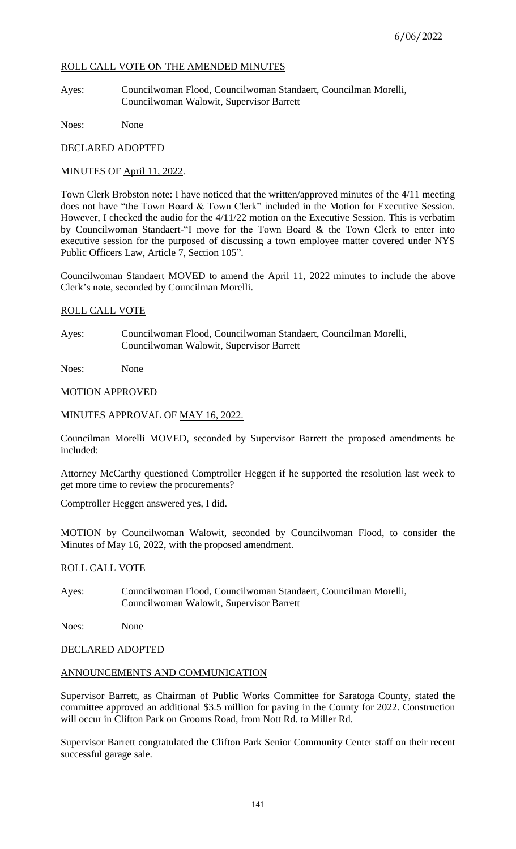# ROLL CALL VOTE ON THE AMENDED MINUTES

Ayes: Councilwoman Flood, Councilwoman Standaert, Councilman Morelli, Councilwoman Walowit, Supervisor Barrett

Noes: None

DECLARED ADOPTED

MINUTES OF April 11, 2022.

Town Clerk Brobston note: I have noticed that the written/approved minutes of the 4/11 meeting does not have "the Town Board & Town Clerk" included in the Motion for Executive Session. However, I checked the audio for the 4/11/22 motion on the Executive Session. This is verbatim by Councilwoman Standaert-"I move for the Town Board & the Town Clerk to enter into executive session for the purposed of discussing a town employee matter covered under NYS Public Officers Law, Article 7, Section 105".

Councilwoman Standaert MOVED to amend the April 11, 2022 minutes to include the above Clerk's note, seconded by Councilman Morelli.

## ROLL CALL VOTE

Ayes: Councilwoman Flood, Councilwoman Standaert, Councilman Morelli, Councilwoman Walowit, Supervisor Barrett

Noes: None

## MOTION APPROVED

## MINUTES APPROVAL OF MAY 16, 2022.

Councilman Morelli MOVED, seconded by Supervisor Barrett the proposed amendments be included:

Attorney McCarthy questioned Comptroller Heggen if he supported the resolution last week to get more time to review the procurements?

Comptroller Heggen answered yes, I did.

MOTION by Councilwoman Walowit, seconded by Councilwoman Flood, to consider the Minutes of May 16, 2022, with the proposed amendment.

### ROLL CALL VOTE

Ayes: Councilwoman Flood, Councilwoman Standaert, Councilman Morelli, Councilwoman Walowit, Supervisor Barrett

Noes: None

DECLARED ADOPTED

### ANNOUNCEMENTS AND COMMUNICATION

Supervisor Barrett, as Chairman of Public Works Committee for Saratoga County, stated the committee approved an additional \$3.5 million for paving in the County for 2022. Construction will occur in Clifton Park on Grooms Road, from Nott Rd. to Miller Rd.

Supervisor Barrett congratulated the Clifton Park Senior Community Center staff on their recent successful garage sale.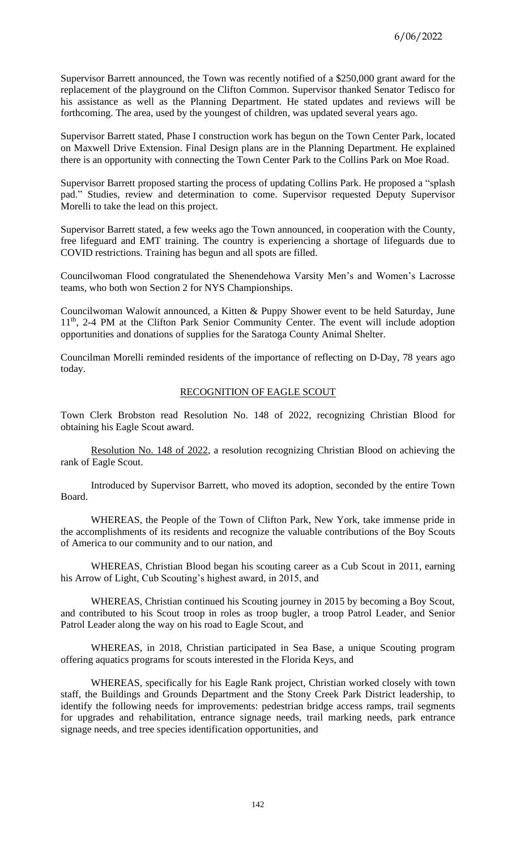Supervisor Barrett announced, the Town was recently notified of a \$250,000 grant award for the replacement of the playground on the Clifton Common. Supervisor thanked Senator Tedisco for his assistance as well as the Planning Department. He stated updates and reviews will be forthcoming. The area, used by the youngest of children, was updated several years ago.

Supervisor Barrett stated, Phase I construction work has begun on the Town Center Park, located on Maxwell Drive Extension. Final Design plans are in the Planning Department. He explained there is an opportunity with connecting the Town Center Park to the Collins Park on Moe Road.

Supervisor Barrett proposed starting the process of updating Collins Park. He proposed a "splash pad." Studies, review and determination to come. Supervisor requested Deputy Supervisor Morelli to take the lead on this project.

Supervisor Barrett stated, a few weeks ago the Town announced, in cooperation with the County, free lifeguard and EMT training. The country is experiencing a shortage of lifeguards due to COVID restrictions. Training has begun and all spots are filled.

Councilwoman Flood congratulated the Shenendehowa Varsity Men's and Women's Lacrosse teams, who both won Section 2 for NYS Championships.

Councilwoman Walowit announced, a Kitten & Puppy Shower event to be held Saturday, June 11<sup>th</sup>, 2-4 PM at the Clifton Park Senior Community Center. The event will include adoption opportunities and donations of supplies for the Saratoga County Animal Shelter.

Councilman Morelli reminded residents of the importance of reflecting on D-Day, 78 years ago today.

## RECOGNITION OF EAGLE SCOUT

Town Clerk Brobston read Resolution No. 148 of 2022, recognizing Christian Blood for obtaining his Eagle Scout award.

Resolution No. 148 of 2022, a resolution recognizing Christian Blood on achieving the rank of Eagle Scout.

Introduced by Supervisor Barrett, who moved its adoption, seconded by the entire Town Board.

WHEREAS, the People of the Town of Clifton Park, New York, take immense pride in the accomplishments of its residents and recognize the valuable contributions of the Boy Scouts of America to our community and to our nation, and

WHEREAS, Christian Blood began his scouting career as a Cub Scout in 2011, earning his Arrow of Light, Cub Scouting's highest award, in 2015, and

WHEREAS, Christian continued his Scouting journey in 2015 by becoming a Boy Scout, and contributed to his Scout troop in roles as troop bugler, a troop Patrol Leader, and Senior Patrol Leader along the way on his road to Eagle Scout, and

WHEREAS, in 2018, Christian participated in Sea Base, a unique Scouting program offering aquatics programs for scouts interested in the Florida Keys, and

WHEREAS, specifically for his Eagle Rank project, Christian worked closely with town staff, the Buildings and Grounds Department and the Stony Creek Park District leadership, to identify the following needs for improvements: pedestrian bridge access ramps, trail segments for upgrades and rehabilitation, entrance signage needs, trail marking needs, park entrance signage needs, and tree species identification opportunities, and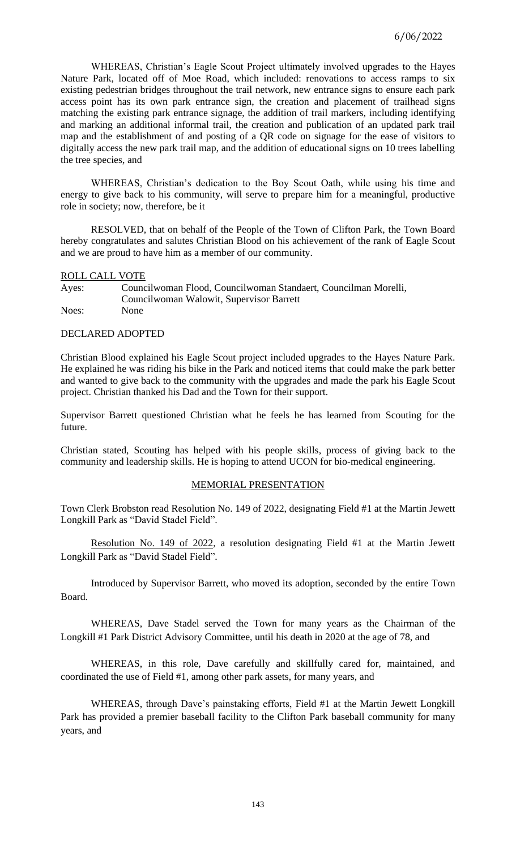WHEREAS, Christian's Eagle Scout Project ultimately involved upgrades to the Hayes Nature Park, located off of Moe Road, which included: renovations to access ramps to six existing pedestrian bridges throughout the trail network, new entrance signs to ensure each park access point has its own park entrance sign, the creation and placement of trailhead signs matching the existing park entrance signage, the addition of trail markers, including identifying and marking an additional informal trail, the creation and publication of an updated park trail map and the establishment of and posting of a QR code on signage for the ease of visitors to digitally access the new park trail map, and the addition of educational signs on 10 trees labelling the tree species, and

WHEREAS, Christian's dedication to the Boy Scout Oath, while using his time and energy to give back to his community, will serve to prepare him for a meaningful, productive role in society; now, therefore, be it

RESOLVED, that on behalf of the People of the Town of Clifton Park, the Town Board hereby congratulates and salutes Christian Blood on his achievement of the rank of Eagle Scout and we are proud to have him as a member of our community.

### ROLL CALL VOTE

Ayes: Councilwoman Flood, Councilwoman Standaert, Councilman Morelli, Councilwoman Walowit, Supervisor Barrett Noes: None

## DECLARED ADOPTED

Christian Blood explained his Eagle Scout project included upgrades to the Hayes Nature Park. He explained he was riding his bike in the Park and noticed items that could make the park better and wanted to give back to the community with the upgrades and made the park his Eagle Scout project. Christian thanked his Dad and the Town for their support.

Supervisor Barrett questioned Christian what he feels he has learned from Scouting for the future.

Christian stated, Scouting has helped with his people skills, process of giving back to the community and leadership skills. He is hoping to attend UCON for bio-medical engineering.

## MEMORIAL PRESENTATION

Town Clerk Brobston read Resolution No. 149 of 2022, designating Field #1 at the Martin Jewett Longkill Park as "David Stadel Field".

Resolution No. 149 of 2022, a resolution designating Field #1 at the Martin Jewett Longkill Park as "David Stadel Field".

Introduced by Supervisor Barrett, who moved its adoption, seconded by the entire Town Board.

WHEREAS, Dave Stadel served the Town for many years as the Chairman of the Longkill #1 Park District Advisory Committee, until his death in 2020 at the age of 78, and

WHEREAS, in this role, Dave carefully and skillfully cared for, maintained, and coordinated the use of Field #1, among other park assets, for many years, and

WHEREAS, through Dave's painstaking efforts, Field #1 at the Martin Jewett Longkill Park has provided a premier baseball facility to the Clifton Park baseball community for many years, and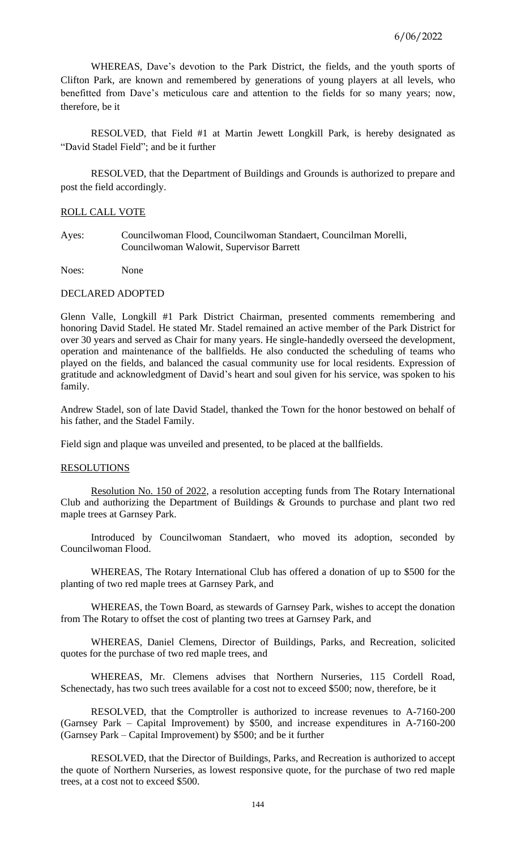WHEREAS, Dave's devotion to the Park District, the fields, and the youth sports of Clifton Park, are known and remembered by generations of young players at all levels, who benefitted from Dave's meticulous care and attention to the fields for so many years; now, therefore, be it

RESOLVED, that Field #1 at Martin Jewett Longkill Park, is hereby designated as "David Stadel Field"; and be it further

RESOLVED, that the Department of Buildings and Grounds is authorized to prepare and post the field accordingly.

### ROLL CALL VOTE

Ayes: Councilwoman Flood, Councilwoman Standaert, Councilman Morelli, Councilwoman Walowit, Supervisor Barrett

Noes: None

#### DECLARED ADOPTED

Glenn Valle, Longkill #1 Park District Chairman, presented comments remembering and honoring David Stadel. He stated Mr. Stadel remained an active member of the Park District for over 30 years and served as Chair for many years. He single-handedly overseed the development, operation and maintenance of the ballfields. He also conducted the scheduling of teams who played on the fields, and balanced the casual community use for local residents. Expression of gratitude and acknowledgment of David's heart and soul given for his service, was spoken to his family.

Andrew Stadel, son of late David Stadel, thanked the Town for the honor bestowed on behalf of his father, and the Stadel Family.

Field sign and plaque was unveiled and presented, to be placed at the ballfields.

#### RESOLUTIONS

Resolution No. 150 of 2022, a resolution accepting funds from The Rotary International Club and authorizing the Department of Buildings & Grounds to purchase and plant two red maple trees at Garnsey Park.

Introduced by Councilwoman Standaert, who moved its adoption, seconded by Councilwoman Flood.

WHEREAS, The Rotary International Club has offered a donation of up to \$500 for the planting of two red maple trees at Garnsey Park, and

WHEREAS, the Town Board, as stewards of Garnsey Park, wishes to accept the donation from The Rotary to offset the cost of planting two trees at Garnsey Park, and

WHEREAS, Daniel Clemens, Director of Buildings, Parks, and Recreation, solicited quotes for the purchase of two red maple trees, and

WHEREAS, Mr. Clemens advises that Northern Nurseries, 115 Cordell Road, Schenectady, has two such trees available for a cost not to exceed \$500; now, therefore, be it

RESOLVED, that the Comptroller is authorized to increase revenues to A-7160-200 (Garnsey Park – Capital Improvement) by \$500, and increase expenditures in A-7160-200 (Garnsey Park – Capital Improvement) by \$500; and be it further

RESOLVED, that the Director of Buildings, Parks, and Recreation is authorized to accept the quote of Northern Nurseries, as lowest responsive quote, for the purchase of two red maple trees, at a cost not to exceed \$500.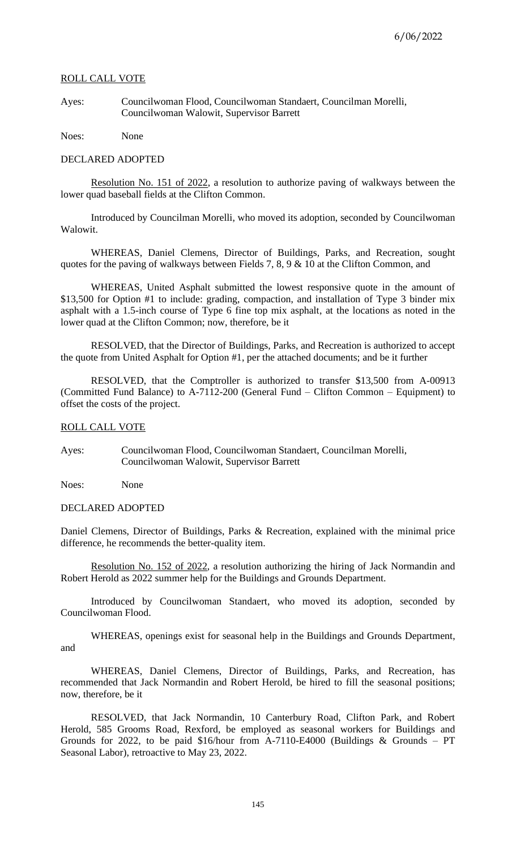## ROLL CALL VOTE

Ayes: Councilwoman Flood, Councilwoman Standaert, Councilman Morelli, Councilwoman Walowit, Supervisor Barrett

Noes: None

### DECLARED ADOPTED

Resolution No. 151 of 2022, a resolution to authorize paving of walkways between the lower quad baseball fields at the Clifton Common.

Introduced by Councilman Morelli, who moved its adoption, seconded by Councilwoman Walowit.

WHEREAS, Daniel Clemens, Director of Buildings, Parks, and Recreation, sought quotes for the paving of walkways between Fields 7, 8, 9 & 10 at the Clifton Common, and

WHEREAS, United Asphalt submitted the lowest responsive quote in the amount of \$13,500 for Option #1 to include: grading, compaction, and installation of Type 3 binder mix asphalt with a 1.5-inch course of Type 6 fine top mix asphalt, at the locations as noted in the lower quad at the Clifton Common; now, therefore, be it

RESOLVED, that the Director of Buildings, Parks, and Recreation is authorized to accept the quote from United Asphalt for Option #1, per the attached documents; and be it further

RESOLVED, that the Comptroller is authorized to transfer \$13,500 from A-00913 (Committed Fund Balance) to A-7112-200 (General Fund – Clifton Common – Equipment) to offset the costs of the project.

## ROLL CALL VOTE

Ayes: Councilwoman Flood, Councilwoman Standaert, Councilman Morelli, Councilwoman Walowit, Supervisor Barrett

Noes: None

## DECLARED ADOPTED

Daniel Clemens, Director of Buildings, Parks & Recreation, explained with the minimal price difference, he recommends the better-quality item.

Resolution No. 152 of 2022, a resolution authorizing the hiring of Jack Normandin and Robert Herold as 2022 summer help for the Buildings and Grounds Department.

Introduced by Councilwoman Standaert, who moved its adoption, seconded by Councilwoman Flood.

WHEREAS, openings exist for seasonal help in the Buildings and Grounds Department, and

WHEREAS, Daniel Clemens, Director of Buildings, Parks, and Recreation, has recommended that Jack Normandin and Robert Herold, be hired to fill the seasonal positions; now, therefore, be it

RESOLVED, that Jack Normandin, 10 Canterbury Road, Clifton Park, and Robert Herold, 585 Grooms Road, Rexford, be employed as seasonal workers for Buildings and Grounds for 2022, to be paid \$16/hour from A-7110-E4000 (Buildings & Grounds – PT Seasonal Labor), retroactive to May 23, 2022.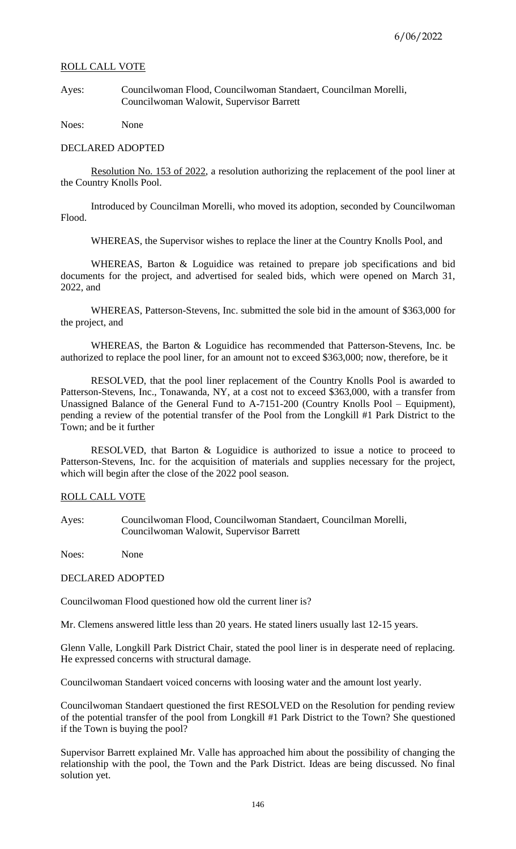## ROLL CALL VOTE

Ayes: Councilwoman Flood, Councilwoman Standaert, Councilman Morelli, Councilwoman Walowit, Supervisor Barrett

Noes: None

#### DECLARED ADOPTED

Resolution No. 153 of 2022, a resolution authorizing the replacement of the pool liner at the Country Knolls Pool.

Introduced by Councilman Morelli, who moved its adoption, seconded by Councilwoman Flood.

WHEREAS, the Supervisor wishes to replace the liner at the Country Knolls Pool, and

WHEREAS, Barton & Loguidice was retained to prepare job specifications and bid documents for the project, and advertised for sealed bids, which were opened on March 31, 2022, and

WHEREAS, Patterson-Stevens, Inc. submitted the sole bid in the amount of \$363,000 for the project, and

WHEREAS, the Barton & Loguidice has recommended that Patterson-Stevens, Inc. be authorized to replace the pool liner, for an amount not to exceed \$363,000; now, therefore, be it

RESOLVED, that the pool liner replacement of the Country Knolls Pool is awarded to Patterson-Stevens, Inc., Tonawanda, NY, at a cost not to exceed \$363,000, with a transfer from Unassigned Balance of the General Fund to A-7151-200 (Country Knolls Pool – Equipment), pending a review of the potential transfer of the Pool from the Longkill #1 Park District to the Town; and be it further

RESOLVED, that Barton & Loguidice is authorized to issue a notice to proceed to Patterson-Stevens, Inc. for the acquisition of materials and supplies necessary for the project, which will begin after the close of the 2022 pool season.

## ROLL CALL VOTE

Ayes: Councilwoman Flood, Councilwoman Standaert, Councilman Morelli, Councilwoman Walowit, Supervisor Barrett

Noes: None

#### DECLARED ADOPTED

Councilwoman Flood questioned how old the current liner is?

Mr. Clemens answered little less than 20 years. He stated liners usually last 12-15 years.

Glenn Valle, Longkill Park District Chair, stated the pool liner is in desperate need of replacing. He expressed concerns with structural damage.

Councilwoman Standaert voiced concerns with loosing water and the amount lost yearly.

Councilwoman Standaert questioned the first RESOLVED on the Resolution for pending review of the potential transfer of the pool from Longkill #1 Park District to the Town? She questioned if the Town is buying the pool?

Supervisor Barrett explained Mr. Valle has approached him about the possibility of changing the relationship with the pool, the Town and the Park District. Ideas are being discussed. No final solution yet.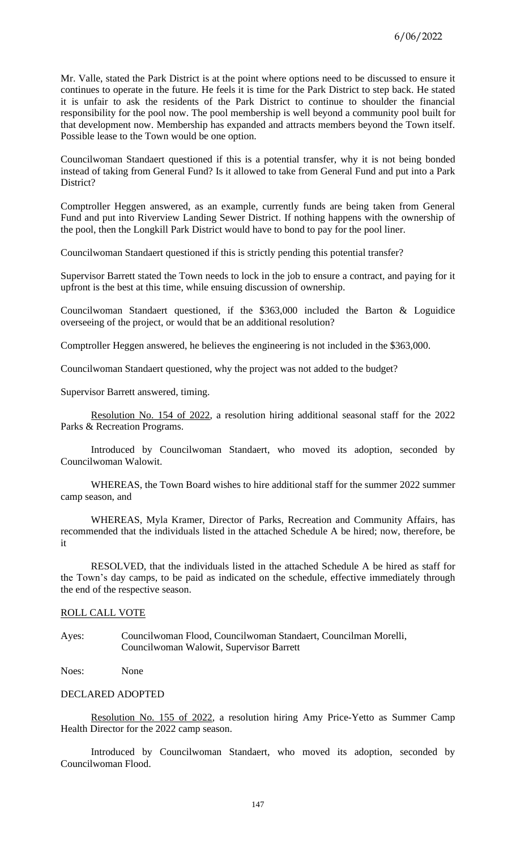Mr. Valle, stated the Park District is at the point where options need to be discussed to ensure it continues to operate in the future. He feels it is time for the Park District to step back. He stated it is unfair to ask the residents of the Park District to continue to shoulder the financial responsibility for the pool now. The pool membership is well beyond a community pool built for that development now. Membership has expanded and attracts members beyond the Town itself. Possible lease to the Town would be one option.

Councilwoman Standaert questioned if this is a potential transfer, why it is not being bonded instead of taking from General Fund? Is it allowed to take from General Fund and put into a Park District?

Comptroller Heggen answered, as an example, currently funds are being taken from General Fund and put into Riverview Landing Sewer District. If nothing happens with the ownership of the pool, then the Longkill Park District would have to bond to pay for the pool liner.

Councilwoman Standaert questioned if this is strictly pending this potential transfer?

Supervisor Barrett stated the Town needs to lock in the job to ensure a contract, and paying for it upfront is the best at this time, while ensuing discussion of ownership.

Councilwoman Standaert questioned, if the \$363,000 included the Barton & Loguidice overseeing of the project, or would that be an additional resolution?

Comptroller Heggen answered, he believes the engineering is not included in the \$363,000.

Councilwoman Standaert questioned, why the project was not added to the budget?

Supervisor Barrett answered, timing.

Resolution No. 154 of 2022, a resolution hiring additional seasonal staff for the 2022 Parks & Recreation Programs.

Introduced by Councilwoman Standaert, who moved its adoption, seconded by Councilwoman Walowit.

WHEREAS, the Town Board wishes to hire additional staff for the summer 2022 summer camp season, and

WHEREAS, Myla Kramer, Director of Parks, Recreation and Community Affairs, has recommended that the individuals listed in the attached Schedule A be hired; now, therefore, be it

RESOLVED, that the individuals listed in the attached Schedule A be hired as staff for the Town's day camps, to be paid as indicated on the schedule, effective immediately through the end of the respective season.

### ROLL CALL VOTE

Ayes: Councilwoman Flood, Councilwoman Standaert, Councilman Morelli, Councilwoman Walowit, Supervisor Barrett

Noes: None

## DECLARED ADOPTED

Resolution No. 155 of 2022, a resolution hiring Amy Price-Yetto as Summer Camp Health Director for the 2022 camp season.

Introduced by Councilwoman Standaert, who moved its adoption, seconded by Councilwoman Flood.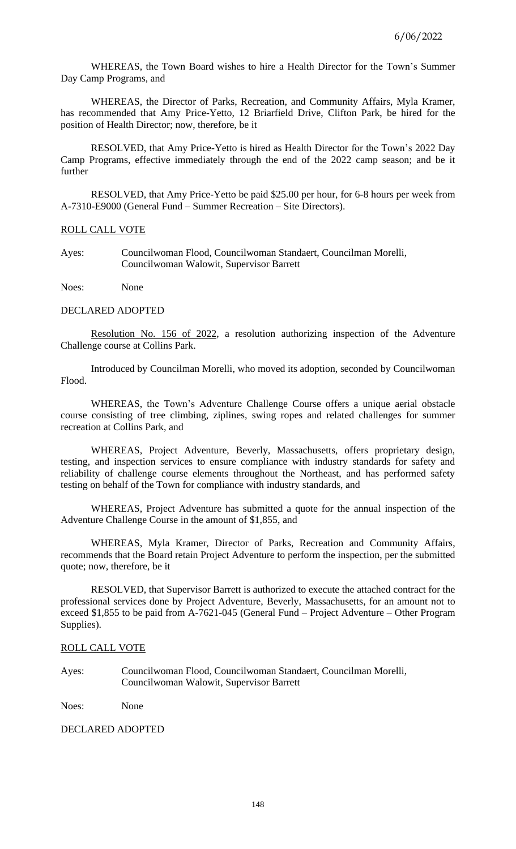WHEREAS, the Town Board wishes to hire a Health Director for the Town's Summer Day Camp Programs, and

WHEREAS, the Director of Parks, Recreation, and Community Affairs, Myla Kramer, has recommended that Amy Price-Yetto, 12 Briarfield Drive, Clifton Park, be hired for the position of Health Director; now, therefore, be it

RESOLVED, that Amy Price-Yetto is hired as Health Director for the Town's 2022 Day Camp Programs, effective immediately through the end of the 2022 camp season; and be it further

RESOLVED, that Amy Price-Yetto be paid \$25.00 per hour, for 6-8 hours per week from A-7310-E9000 (General Fund – Summer Recreation – Site Directors).

## ROLL CALL VOTE

Ayes: Councilwoman Flood, Councilwoman Standaert, Councilman Morelli, Councilwoman Walowit, Supervisor Barrett

Noes: None

# DECLARED ADOPTED

Resolution No. 156 of 2022, a resolution authorizing inspection of the Adventure Challenge course at Collins Park.

Introduced by Councilman Morelli, who moved its adoption, seconded by Councilwoman Flood.

WHEREAS, the Town's Adventure Challenge Course offers a unique aerial obstacle course consisting of tree climbing, ziplines, swing ropes and related challenges for summer recreation at Collins Park, and

WHEREAS, Project Adventure, Beverly, Massachusetts, offers proprietary design, testing, and inspection services to ensure compliance with industry standards for safety and reliability of challenge course elements throughout the Northeast, and has performed safety testing on behalf of the Town for compliance with industry standards, and

WHEREAS, Project Adventure has submitted a quote for the annual inspection of the Adventure Challenge Course in the amount of \$1,855, and

WHEREAS, Myla Kramer, Director of Parks, Recreation and Community Affairs, recommends that the Board retain Project Adventure to perform the inspection, per the submitted quote; now, therefore, be it

RESOLVED, that Supervisor Barrett is authorized to execute the attached contract for the professional services done by Project Adventure, Beverly, Massachusetts, for an amount not to exceed \$1,855 to be paid from A-7621-045 (General Fund – Project Adventure – Other Program Supplies).

### ROLL CALL VOTE

Ayes: Councilwoman Flood, Councilwoman Standaert, Councilman Morelli, Councilwoman Walowit, Supervisor Barrett

Noes: None

## DECLARED ADOPTED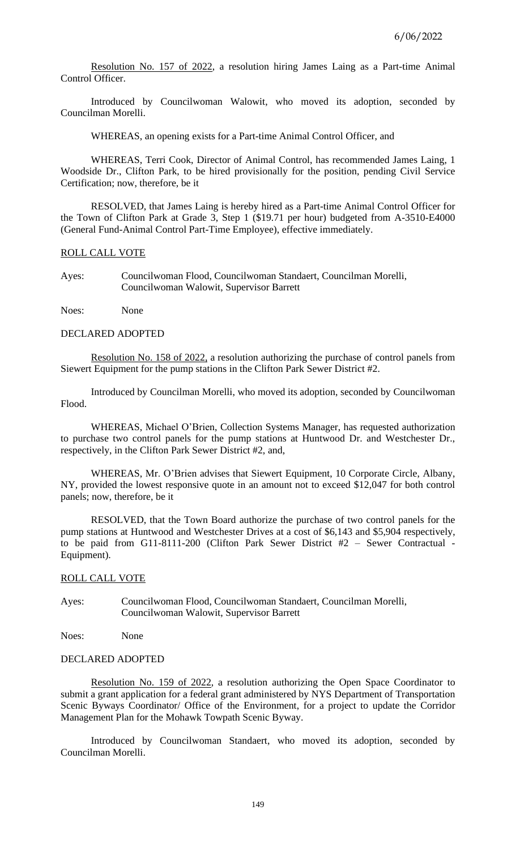Resolution No. 157 of 2022, a resolution hiring James Laing as a Part-time Animal Control Officer.

Introduced by Councilwoman Walowit, who moved its adoption, seconded by Councilman Morelli.

WHEREAS, an opening exists for a Part-time Animal Control Officer, and

WHEREAS, Terri Cook, Director of Animal Control, has recommended James Laing, 1 Woodside Dr., Clifton Park, to be hired provisionally for the position, pending Civil Service Certification; now, therefore, be it

RESOLVED, that James Laing is hereby hired as a Part-time Animal Control Officer for the Town of Clifton Park at Grade 3, Step 1 (\$19.71 per hour) budgeted from A-3510-E4000 (General Fund-Animal Control Part-Time Employee), effective immediately.

## ROLL CALL VOTE

Ayes: Councilwoman Flood, Councilwoman Standaert, Councilman Morelli, Councilwoman Walowit, Supervisor Barrett

Noes: None

### DECLARED ADOPTED

Resolution No. 158 of 2022, a resolution authorizing the purchase of control panels from Siewert Equipment for the pump stations in the Clifton Park Sewer District #2.

Introduced by Councilman Morelli, who moved its adoption, seconded by Councilwoman Flood.

WHEREAS, Michael O'Brien, Collection Systems Manager, has requested authorization to purchase two control panels for the pump stations at Huntwood Dr. and Westchester Dr., respectively, in the Clifton Park Sewer District #2, and,

WHEREAS, Mr. O'Brien advises that Siewert Equipment, 10 Corporate Circle, Albany, NY, provided the lowest responsive quote in an amount not to exceed \$12,047 for both control panels; now, therefore, be it

RESOLVED, that the Town Board authorize the purchase of two control panels for the pump stations at Huntwood and Westchester Drives at a cost of \$6,143 and \$5,904 respectively, to be paid from G11-8111-200 (Clifton Park Sewer District #2 – Sewer Contractual - Equipment).

## ROLL CALL VOTE

Ayes: Councilwoman Flood, Councilwoman Standaert, Councilman Morelli, Councilwoman Walowit, Supervisor Barrett

Noes: None

### DECLARED ADOPTED

Resolution No. 159 of 2022, a resolution authorizing the Open Space Coordinator to submit a grant application for a federal grant administered by NYS Department of Transportation Scenic Byways Coordinator/ Office of the Environment, for a project to update the Corridor Management Plan for the Mohawk Towpath Scenic Byway.

Introduced by Councilwoman Standaert, who moved its adoption, seconded by Councilman Morelli.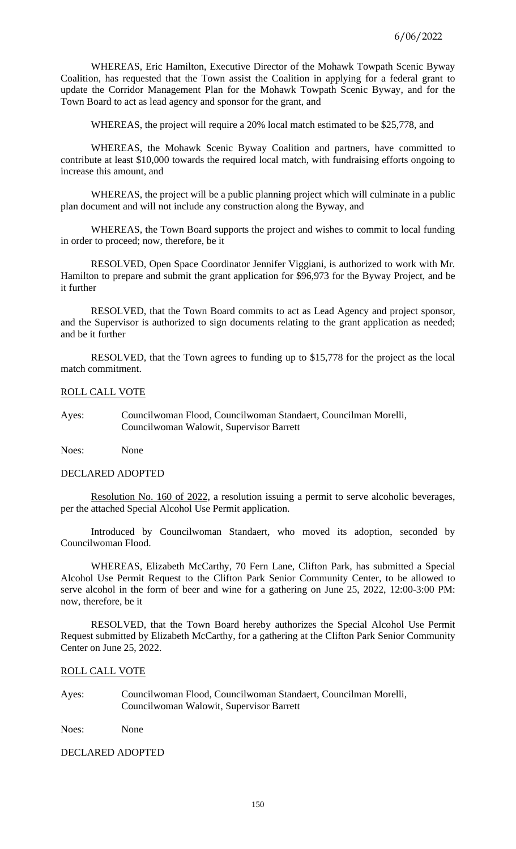WHEREAS, Eric Hamilton, Executive Director of the Mohawk Towpath Scenic Byway Coalition, has requested that the Town assist the Coalition in applying for a federal grant to update the Corridor Management Plan for the Mohawk Towpath Scenic Byway, and for the Town Board to act as lead agency and sponsor for the grant, and

WHEREAS, the project will require a 20% local match estimated to be \$25,778, and

WHEREAS, the Mohawk Scenic Byway Coalition and partners, have committed to contribute at least \$10,000 towards the required local match, with fundraising efforts ongoing to increase this amount, and

WHEREAS, the project will be a public planning project which will culminate in a public plan document and will not include any construction along the Byway, and

WHEREAS, the Town Board supports the project and wishes to commit to local funding in order to proceed; now, therefore, be it

RESOLVED, Open Space Coordinator Jennifer Viggiani, is authorized to work with Mr. Hamilton to prepare and submit the grant application for \$96,973 for the Byway Project, and be it further

RESOLVED, that the Town Board commits to act as Lead Agency and project sponsor, and the Supervisor is authorized to sign documents relating to the grant application as needed; and be it further

RESOLVED, that the Town agrees to funding up to \$15,778 for the project as the local match commitment.

### ROLL CALL VOTE

Ayes: Councilwoman Flood, Councilwoman Standaert, Councilman Morelli, Councilwoman Walowit, Supervisor Barrett

Noes: None

#### DECLARED ADOPTED

Resolution No. 160 of 2022, a resolution issuing a permit to serve alcoholic beverages, per the attached Special Alcohol Use Permit application.

Introduced by Councilwoman Standaert, who moved its adoption, seconded by Councilwoman Flood.

WHEREAS, Elizabeth McCarthy, 70 Fern Lane, Clifton Park, has submitted a Special Alcohol Use Permit Request to the Clifton Park Senior Community Center, to be allowed to serve alcohol in the form of beer and wine for a gathering on June 25, 2022, 12:00-3:00 PM: now, therefore, be it

RESOLVED, that the Town Board hereby authorizes the Special Alcohol Use Permit Request submitted by Elizabeth McCarthy, for a gathering at the Clifton Park Senior Community Center on June 25, 2022.

### ROLL CALL VOTE

Ayes: Councilwoman Flood, Councilwoman Standaert, Councilman Morelli, Councilwoman Walowit, Supervisor Barrett

Noes: None

DECLARED ADOPTED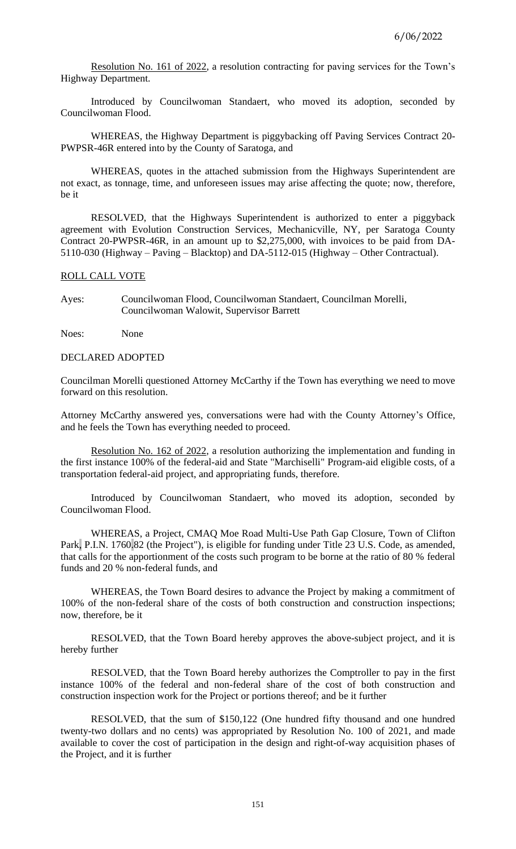Resolution No. 161 of 2022, a resolution contracting for paving services for the Town's Highway Department.

Introduced by Councilwoman Standaert, who moved its adoption, seconded by Councilwoman Flood.

WHEREAS, the Highway Department is piggybacking off Paving Services Contract 20- PWPSR-46R entered into by the County of Saratoga, and

WHEREAS, quotes in the attached submission from the Highways Superintendent are not exact, as tonnage, time, and unforeseen issues may arise affecting the quote; now, therefore, be it

RESOLVED, that the Highways Superintendent is authorized to enter a piggyback agreement with Evolution Construction Services, Mechanicville, NY, per Saratoga County Contract 20-PWPSR-46R, in an amount up to \$2,275,000, with invoices to be paid from DA-5110-030 (Highway – Paving – Blacktop) and DA-5112-015 (Highway – Other Contractual).

## ROLL CALL VOTE

Ayes: Councilwoman Flood, Councilwoman Standaert, Councilman Morelli, Councilwoman Walowit, Supervisor Barrett

Noes: None

## DECLARED ADOPTED

Councilman Morelli questioned Attorney McCarthy if the Town has everything we need to move forward on this resolution.

Attorney McCarthy answered yes, conversations were had with the County Attorney's Office, and he feels the Town has everything needed to proceed.

Resolution No. 162 of 2022, a resolution authorizing the implementation and funding in the first instance 100% of the federal-aid and State "Marchiselli" Program-aid eligible costs, of a transportation federal-aid project, and appropriating funds, therefore.

Introduced by Councilwoman Standaert, who moved its adoption, seconded by Councilwoman Flood.

WHEREAS, a Project, CMAQ Moe Road Multi-Use Path Gap Closure, Town of Clifton Park, P.I.N. 1760.82 (the Project"), is eligible for funding under Title 23 U.S. Code, as amended, that calls for the apportionment of the costs such program to be borne at the ratio of 80 % federal funds and 20 % non-federal funds, and

WHEREAS, the Town Board desires to advance the Project by making a commitment of 100% of the non-federal share of the costs of both construction and construction inspections; now, therefore, be it

RESOLVED, that the Town Board hereby approves the above-subject project, and it is hereby further

RESOLVED, that the Town Board hereby authorizes the Comptroller to pay in the first instance 100% of the federal and non-federal share of the cost of both construction and construction inspection work for the Project or portions thereof; and be it further

RESOLVED, that the sum of \$150,122 (One hundred fifty thousand and one hundred twenty-two dollars and no cents) was appropriated by Resolution No. 100 of 2021, and made available to cover the cost of participation in the design and right-of-way acquisition phases of the Project, and it is further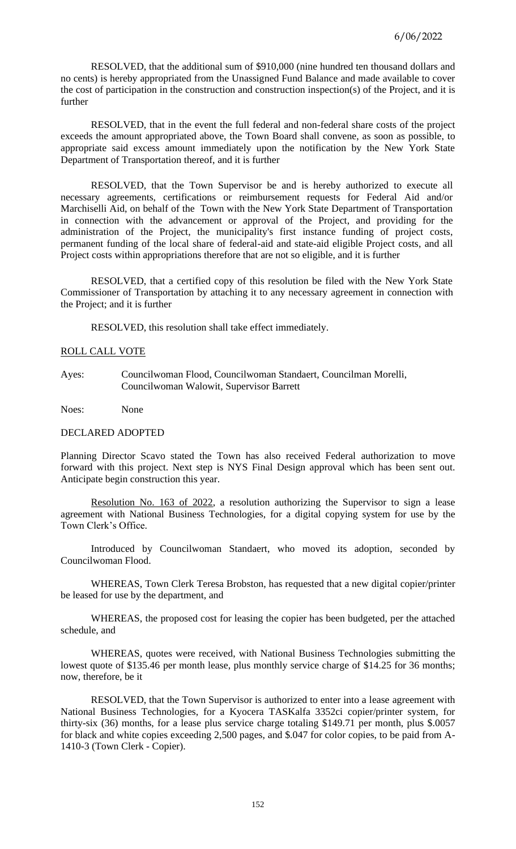RESOLVED, that the additional sum of \$910,000 (nine hundred ten thousand dollars and no cents) is hereby appropriated from the Unassigned Fund Balance and made available to cover the cost of participation in the construction and construction inspection(s) of the Project, and it is further

RESOLVED, that in the event the full federal and non-federal share costs of the project exceeds the amount appropriated above, the Town Board shall convene, as soon as possible, to appropriate said excess amount immediately upon the notification by the New York State Department of Transportation thereof, and it is further

RESOLVED, that the Town Supervisor be and is hereby authorized to execute all necessary agreements, certifications or reimbursement requests for Federal Aid and/or Marchiselli Aid, on behalf of the Town with the New York State Department of Transportation in connection with the advancement or approval of the Project, and providing for the administration of the Project, the municipality's first instance funding of project costs, permanent funding of the local share of federal-aid and state-aid eligible Project costs, and all Project costs within appropriations therefore that are not so eligible, and it is further

RESOLVED, that a certified copy of this resolution be filed with the New York State Commissioner of Transportation by attaching it to any necessary agreement in connection with the Project; and it is further

RESOLVED, this resolution shall take effect immediately.

## ROLL CALL VOTE

Ayes: Councilwoman Flood, Councilwoman Standaert, Councilman Morelli, Councilwoman Walowit, Supervisor Barrett

Noes: None

## DECLARED ADOPTED

Planning Director Scavo stated the Town has also received Federal authorization to move forward with this project. Next step is NYS Final Design approval which has been sent out. Anticipate begin construction this year.

Resolution No. 163 of 2022, a resolution authorizing the Supervisor to sign a lease agreement with National Business Technologies, for a digital copying system for use by the Town Clerk's Office.

Introduced by Councilwoman Standaert, who moved its adoption, seconded by Councilwoman Flood.

WHEREAS, Town Clerk Teresa Brobston, has requested that a new digital copier/printer be leased for use by the department, and

WHEREAS, the proposed cost for leasing the copier has been budgeted, per the attached schedule, and

WHEREAS, quotes were received, with National Business Technologies submitting the lowest quote of \$135.46 per month lease, plus monthly service charge of \$14.25 for 36 months; now, therefore, be it

RESOLVED, that the Town Supervisor is authorized to enter into a lease agreement with National Business Technologies, for a Kyocera TASKalfa 3352ci copier/printer system, for thirty-six (36) months, for a lease plus service charge totaling \$149.71 per month, plus \$.0057 for black and white copies exceeding 2,500 pages, and \$.047 for color copies, to be paid from A-1410-3 (Town Clerk - Copier).